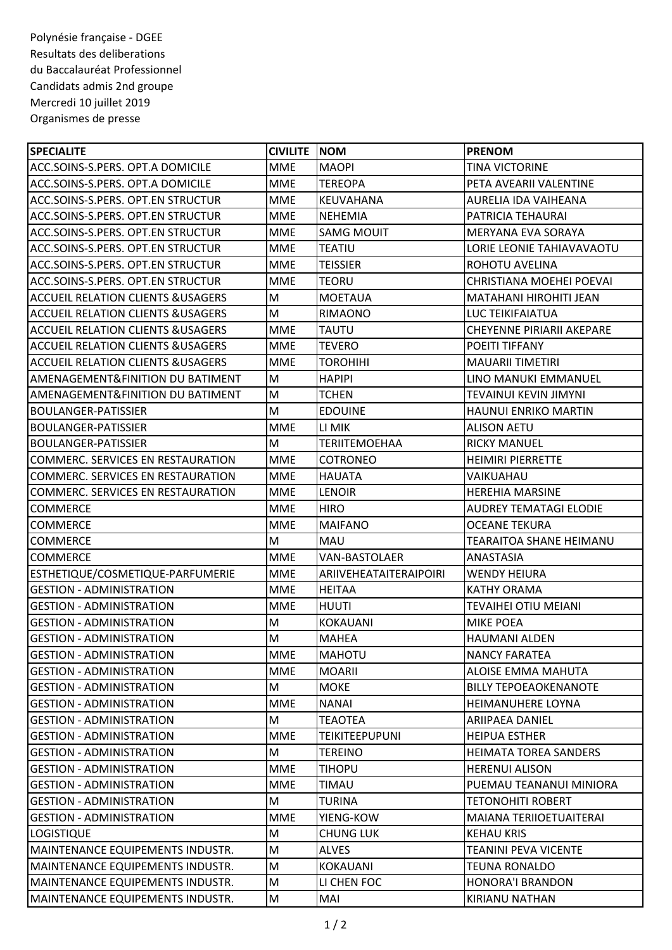Polynésie française - DGEE Resultats des deliberations du Baccalauréat Professionnel Candidats admis 2nd groupe Mercredi 10 juillet 2019 Organismes de presse

| <b>SPECIALITE</b>                             | <b>CIVILITE NOM</b> |                        | <b>PRENOM</b>                    |
|-----------------------------------------------|---------------------|------------------------|----------------------------------|
| ACC.SOINS-S.PERS. OPT.A DOMICILE              | <b>MME</b>          | <b>MAOPI</b>           | <b>TINA VICTORINE</b>            |
| ACC.SOINS-S.PERS. OPT.A DOMICILE              | <b>MME</b>          | <b>TEREOPA</b>         | PETA AVEARII VALENTINE           |
| ACC.SOINS-S.PERS. OPT.EN STRUCTUR             | <b>MME</b>          | <b>KEUVAHANA</b>       | AURELIA IDA VAIHEANA             |
| ACC.SOINS-S.PERS. OPT.EN STRUCTUR             | <b>MME</b>          | <b>NEHEMIA</b>         | PATRICIA TEHAURAI                |
| <b>ACC.SOINS-S.PERS. OPT.EN STRUCTUR</b>      | MME                 | <b>SAMG MOUIT</b>      | MERYANA EVA SORAYA               |
| ACC.SOINS-S.PERS. OPT.EN STRUCTUR             | <b>MME</b>          | <b>TEATIU</b>          | LORIE LEONIE TAHIAVAVAOTU        |
| <b>ACC.SOINS-S.PERS. OPT.EN STRUCTUR</b>      | <b>MME</b>          | <b>TEISSIER</b>        | ROHOTU AVELINA                   |
| ACC.SOINS-S.PERS. OPT.EN STRUCTUR             | <b>MME</b>          | <b>TEORU</b>           | CHRISTIANA MOEHEI POEVAI         |
| <b>ACCUEIL RELATION CLIENTS &amp; USAGERS</b> | M                   | <b>MOETAUA</b>         | <b>MATAHANI HIROHITI JEAN</b>    |
| ACCUEIL RELATION CLIENTS &USAGERS             | M                   | RIMAONO                | LUC TEIKIFAIATUA                 |
| <b>ACCUEIL RELATION CLIENTS &amp; USAGERS</b> | <b>MME</b>          | <b>TAUTU</b>           | <b>CHEYENNE PIRIARII AKEPARE</b> |
| <b>ACCUEIL RELATION CLIENTS &amp; USAGERS</b> | <b>MME</b>          | <b>TEVERO</b>          | POEITI TIFFANY                   |
| <b>ACCUEIL RELATION CLIENTS &amp; USAGERS</b> | <b>MME</b>          | <b>TOROHIHI</b>        | <b>MAUARII TIMETIRI</b>          |
| AMENAGEMENT&FINITION DU BATIMENT              | M                   | <b>HAPIPI</b>          | LINO MANUKI EMMANUEL             |
| AMENAGEMENT&FINITION DU BATIMENT              | M                   | TCHEN                  | TEVAINUI KEVIN JIMYNI            |
| <b>BOULANGER-PATISSIER</b>                    | M                   | <b>EDOUINE</b>         | <b>HAUNUI ENRIKO MARTIN</b>      |
| <b>BOULANGER-PATISSIER</b>                    | <b>MME</b>          | LI MIK                 | <b>ALISON AETU</b>               |
| BOULANGER-PATISSIER                           | M                   | <b>TERIITEMOEHAA</b>   | <b>RICKY MANUEL</b>              |
| COMMERC. SERVICES EN RESTAURATION             | <b>MME</b>          | <b>COTRONEO</b>        | <b>HEIMIRI PIERRETTE</b>         |
| ICOMMERC. SERVICES EN RESTAURATION            | <b>MME</b>          | <b>HAUATA</b>          | VAIKUAHAU                        |
| COMMERC. SERVICES EN RESTAURATION             | <b>MME</b>          | <b>LENOIR</b>          | <b>HEREHIA MARSINE</b>           |
| <b>COMMERCE</b>                               | <b>MME</b>          | <b>HIRO</b>            | <b>AUDREY TEMATAGI ELODIE</b>    |
| <b>COMMERCE</b>                               | <b>MME</b>          | <b>MAIFANO</b>         | <b>OCEANE TEKURA</b>             |
| <b>COMMERCE</b>                               | M                   | <b>MAU</b>             | TEARAITOA SHANE HEIMANU          |
| <b>COMMERCE</b>                               | <b>MME</b>          | <b>VAN-BASTOLAER</b>   | ANASTASIA                        |
| ESTHETIQUE/COSMETIQUE-PARFUMERIE              | <b>MME</b>          | ARIIVEHEATAITERAIPOIRI | <b>WENDY HEIURA</b>              |
| <b>GESTION - ADMINISTRATION</b>               | <b>MME</b>          | <b>HEITAA</b>          | <b>KATHY ORAMA</b>               |
| <b>GESTION - ADMINISTRATION</b>               | <b>MME</b>          | <b>HUUTI</b>           | <b>TEVAIHEI OTIU MEIANI</b>      |
| <b>GESTION - ADMINISTRATION</b>               | M                   | <b>KOKAUANI</b>        | <b>MIKE POEA</b>                 |
| <b>GESTION - ADMINISTRATION</b>               | M                   | <b>MAHEA</b>           | <b>HAUMANI ALDEN</b>             |
| <b>GESTION - ADMINISTRATION</b>               | <b>MME</b>          | MAHOTU                 | <b>NANCY FARATEA</b>             |
| <b>GESTION - ADMINISTRATION</b>               | <b>MME</b>          | <b>MOARII</b>          | ALOISE EMMA MAHUTA               |
| <b>GESTION - ADMINISTRATION</b>               | M                   | <b>MOKE</b>            | <b>BILLY TEPOEAOKENANOTE</b>     |
| <b>GESTION - ADMINISTRATION</b>               | <b>MME</b>          | <b>NANAI</b>           | HEIMANUHERE LOYNA                |
| IGESTION - ADMINISTRATION                     | M                   | TEAOTEA                | <b>ARIIPAEA DANIEL</b>           |
| <b>GESTION - ADMINISTRATION</b>               | <b>MME</b>          | <b>TEIKITEEPUPUNI</b>  | <b>HEIPUA ESTHER</b>             |
| <b>GESTION - ADMINISTRATION</b>               | M                   | TEREINO                | <b>HEIMATA TOREA SANDERS</b>     |
| <b>GESTION - ADMINISTRATION</b>               | <b>MME</b>          | TIHOPU                 | <b>HERENUI ALISON</b>            |
| <b>GESTION - ADMINISTRATION</b>               | <b>MME</b>          | TIMAU                  | PUEMAU TEANANUI MINIORA          |
| IGESTION - ADMINISTRATION                     | M                   | TURINA                 | TETONOHITI ROBERT                |
| <b>GESTION - ADMINISTRATION</b>               | <b>MME</b>          | YIENG-KOW              | MAIANA TERIIOETUAITERAI          |
| LOGISTIQUE                                    | M                   | <b>CHUNG LUK</b>       | <b>KEHAU KRIS</b>                |
| MAINTENANCE EQUIPEMENTS INDUSTR.              | M                   | <b>ALVES</b>           | <b>TEANINI PEVA VICENTE</b>      |
| MAINTENANCE EQUIPEMENTS INDUSTR.              | M                   | <b>KOKAUANI</b>        | <b>TEUNA RONALDO</b>             |
| MAINTENANCE EQUIPEMENTS INDUSTR.              | M                   | LI CHEN FOC            | <b>HONORA'I BRANDON</b>          |
| MAINTENANCE EQUIPEMENTS INDUSTR.              | M                   | MAI                    | KIRIANU NATHAN                   |